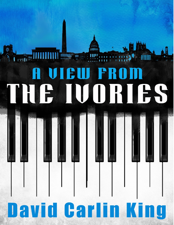## JH. **AND TO AN ADDRESS THE REAL PROPERTY** A FI UORIES

nanan<br>MUUT

### *A View from the Ivories 1 © David Carlin King*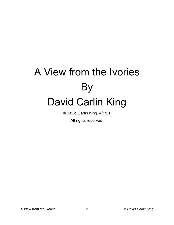# A View from the Ivories By David Carlin King

©David Carlin King, 4/1/21

All rights reserved.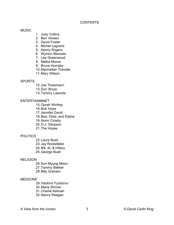#### **CONTENTS**

#### **MUSIC**

- 1. Judy Collins
- 2. Ben Vereen
- 3. David Foster
- 4. Michel Legrand
- 5. Kenny Rogers
- 6. Wynton Marsalis
- 7. Lee Greenwood
- 8. Melba Moore
- 9. Bruce Hornsby
- 10.Manhattan Transfer
- 11.Mary Wilson

#### **SPORTS**

- 12.Joe Theismann
- 13.Don Shula
- 14.Tommy Lasorda

#### ENTERTAINMNET

- 15.Oprah Winfrey
- 16.Bob Hope
- 17.Jennifer David
- 18.Bea, Dixie, and Elaine
- 19.Norm Crosby
- 20.O.J. Simpson
- 21.The Hoyas

#### POLITICS

22.Laura Bush 23.Jay Rockefeller 24.Bill, Al, & Hillary 25.George Bush

#### **RELIGION**

26.Sun Myung Moon 27.Tammy Bakker 28.Billy Graham

#### MEDICINE

- 29.Vladimir Fyodorov 30.Maria Shriver 31.Charlie Kelman
- 32.Nancy Reagan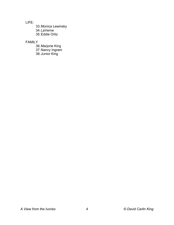LIFE:

33.Monica Lewinsky 34.LaVerne 35.Eddie Ortiz

#### FAMILY

36.Marjorie King 37.Nancy Ingram

38.Junior King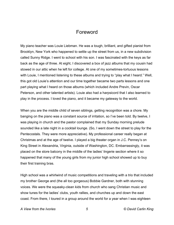### Foreword

My piano teacher was Louie Liebman. He was a tough, brilliant, and gifted pianist from Brooklyn, New York who happened to settle up the street from us, in a new subdivision called Sunny Ridge. I went to school with his son. I was fascinated with the keys as far back as the age of three. At eight, I discovered a box of jazz albums that my cousin had stowed in our attic when he left for college. At one of my sometimes-tortuous lessons with Louie, I mentioned listening to these albums and trying to "play what I heard." Well, this got old Louie's attention and our time together became two parts lessons and one part playing what I heard on those albums (which included Andre Previn, Oscar Peterson, and other talented artists). Louie also had a harpsicord that I also learned to play in the process. I loved the piano, and it became my gateway to the world.

When you are the middle child of seven siblings, getting recognition was a chore. My banging on the piano was a constant source of irritation, so I've been told. By twelve, I was playing in church and the pastor complained that my Sunday morning prelude sounded like a late night in a cocktail lounge. (So, I went down the street to play for the Pentecostals. They were more appreciative). My professional career really began at Christmas and at the age of twelve. I played a big theater organ in J.C. Penney's on King Street in Alexandria, Virginia, outside of Washington, DC. Embarrassingly, it was placed on the store balcony in the middle of the ladies' lingerie section where it so happened that many of the young girls from my junior high school showed up to buy their first training bras.

High school was a whirlwind of music competitions and traveling with a trio that included my brother George and (the all too gorgeous) Bobbie Gardner, both with stunning voices. We were the squeaky-clean kids from church who sang Christian music and show tunes for the ladies' clubs, youth rallies, and churches up and down the east coast. From there, I toured in a group around the world for a year when I was eighteen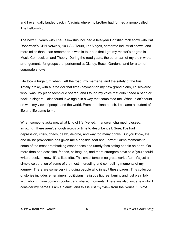and I eventually landed back in Virginia where my brother had formed a group called The Fellowship.

The next 13 years with The Fellowship included a five-year Christian rock show with Pat Robertson's CBN Network, 10 USO Tours, Las Vegas, corporate industrial shows, and more miles than I can remember. It was in tour bus that I got my master's degree in Music Composition and Theory. During the road years, the other part of my brain wrote arrangements for groups that performed at Disney, Busch Gardens, and for a ton of corporate shows.

Life took a huge turn when I left the road, my marriage, and the safety of the bus. Totally broke, with a large (for that time) payment on my new grand piano, I discovered who I was. My piano technique soared, and I found my voice that didn't need a band or backup singers. I also found love again in a way that completed me. What I didn't count on was my view of people and the world. From the piano bench, I became a student of life and life came to me.

When someone asks me, what kind of life I've led…I answer, charmed, blessed, amazing. There aren't enough words or time to describe it all. Sure, I've had depression, crisis, chaos, death, divorce, and way too many drinks. But you know, life and divine providence has given me a ringside seat and Forrest Gump moments to some of the most breathtaking experiences and utterly fascinating people on earth. On more than one occasion, friends, colleagues, and mere strangers have said "you should write a book.' I know, it's a little trite. This small tome is no great work of art. It's just a simple celebration of some of the most interesting and compelling moments of my journey. There are some very intriguing people who inhabit these pages. This collection of stories includes entertainers, politicians, religious figures, family, and just plain folk with whom I have come in contact and shared moments. There are also just a few who I consider my heroes. I am a pianist, and this is just my "view from the ivories." Enjoy!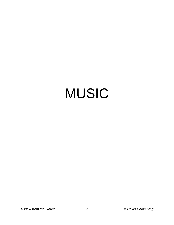# MUSIC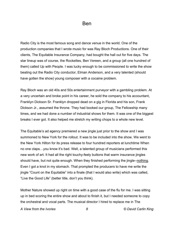Radio City is the most famous song and dance venue in the world. One of the production companies that I wrote music for was Ray Bloch Productions. One of their clients, The Equitable Insurance Company, had bought the hall out for five days. The star lineup was of course, the Rockettes, Ben Vereen, and a group (all one hundred of them) called Up with People. I was lucky enough to be commissioned to write the show beating out the Radio City conductor, Elman Anderson, and a very talented (should have gotten the show) young composer with a cocaine problem.

Ray Bloch was an old 40s and 50s entertainment purveyor with a gambling problem. At a very uncertain and broke point in his career, he sold the company to his accountant, Franklyn Dickson Sr. Franklyn dropped dead on a gig in Florida and his son, Frank Dickson Jr., assumed the throne. They had booked our group, The Fellowship many times, and we had done a number of industrial shows for them. It was one of the biggest breaks I ever got. It also helped me stretch my writing chops to a whole new level.

The Equitable's ad agency premiered a new jingle just prior to the show and I was summoned to New York for the rollout. It was to be included into the show. We went to the New York Hilton for its press release to four hundred reporters at lunchtime When no one claps…you know it's bad. Well, a talented group of musicians performed this new work of art. It had all the right touchy-feely buttons that warm insurance jingles should have, but not quite enough. When they finished performing the jingle--nothing. Even I got a knot in my stomach. That prompted the producers to have me write the jingle "Count on the Equitable" into a finale (that I would also write) which was called, "Live the Good Life" (better title, don't you think).

Mother Nature showed up right on time with a good case of the flu for me. I was sitting up in bed scoring the entire show and about to finish it, but I needed someone to copy the orchestral and vocal parts. The musical director I hired to replace me in The

*A View from the Ivories 8 © David Carlin King*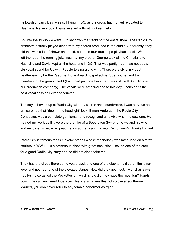Fellowship, Larry Day, was still living in DC, as the group had not yet relocated to Nashville. Never would I have finished without his keen help.

So, into the studio we went… to lay down the tracks for the entire show. The Radio City orchestra actually played along with my scores produced in the studio. Apparently, they did this with a lot of shows on an old, outdated four-track tape playback deck. When I left the road, the running joke was that my brother George took all the Christians to Nashville and David kept all the heathens in DC. That was partly true… we needed a big vocal sound for Up with People to sing along with. There were six of my best heathens-- my brother George, Dove Award gospel soloist Sue Dodge, and two members of the group Gladd (that I had put together when I was still with Old Towne, our production company). The vocals were amazing and to this day, I consider it the best vocal session I ever conducted.

The day I showed up at Radio City with my scores and soundtracks, I was nervous and am sure had that "deer in the headlight" look. Elman Anderson, the Radio City Conductor, was a complete gentleman and recognized a newbie when he saw one. He treated my work as if it were the premier of a Beethoven Symphony. He and his wife and my parents became great friends at the wrap luncheon. Who knew? Thanks Elman!

Radio City is famous for its elevator stages whose technology was later used on aircraft carriers in WWII. It is a cavernous place with great acoustics. I asked one of the crew for a good Radio City story and he did not disappoint me.

They had the circus there some years back and one of the elephants died on the lower level and not near one of the elevated stages. How did they get it out…with chainsaws (really)! I also asked the Rockettes on which show did they have the most fun? Hands down, they all answered *Liberace!* This is also where this not so clever southerner learned, you don't ever refer to any female performer as "girl."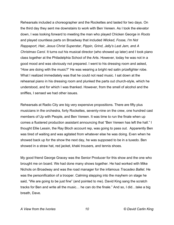Rehearsals included a choreographer and the Rockettes and lasted for two days. On the third day they sent me downstairs to work with Ben Vereen. As I took the elevator down, I was looking forward to meeting the man who played Chicken George in *Roots*  and played countless parts on Broadway that included *Wicked, Fosse, I'm Not Rappaport, Hair, Jesus Christ Superstar, Pippin, Grind, Jelly's Last Jam, a*nd *A Christmas Carol*. It turns out his musical director (who showed up later) and I took piano class together at the Philadelphia School of the Arts. However, today he was not in a good mood and was obviously not prepared. I went to his dressing room and asked, "How are doing with the music?" He was wearing a bright red satin prizefighter robe. What I realized immediately was that he could not read music. I sat down at the rehearsal piano in his dressing room and plunked the parts out church-style, which he understood, and for which I was thanked. However, from the smell of alcohol and the sniffles, I sensed we had other issues.

Rehearsals at Radio City are big very expensive propositions. There are fifty plus musicians in the orchestra, forty Rockettes, seventy-nine on the crew, one hundred cast members of Up with People, and Ben Vereen. It was time to run the finale when up comes a flustered production assistant announcing that "Ben Vereen has left the hall." I thought Ellie Lessin, the Ray Bloch account rep, was going to pass out. Apparently Ben was tired of waiting and was agitated from whatever else he was doing. Even when he showed back up for the show the next day, he was supposed to be in a tuxedo. Ben showed in a straw hat, red jacket, khaki trousers, and tennis shoes.

My good friend George Gracey was the Senior Producer for this show and the one who brought me on board. We had done many shows together. He had worked with Mike Nichols on Broadway and was the road manager for the infamous *Tracadeo Ballet.* He was the personification of a trooper. Calming stepping into the mayhem on stage he said, "We are going to be just fine" (and pointed to me). David King sang the scratch tracks for Ben and write all the music… he can do the finale." And so, I did…take a big breath, Dave.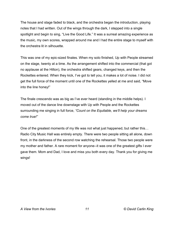The house and stage faded to black, and the orchestra began the introduction, playing notes that I had written. Out of the wings through the dark, I stepped into a single spotlight and begin to sing, "Live the Good Life." It was a surreal amazing experience as the music, my own scores, wrapped around me and I had the entire stage to myself with the orchestra lit in silhouette.

This was one of my epic-sized finales. When my solo finished, Up with People streamed on the stage, twenty at a time. As the arrangement shifted into the commercial (that got no applause at the Hilton), the orchestra shifted gears, changed keys, and then the Rockettes entered. When they kick, I've got to tell you, it makes a lot of noise. I did not get the full force of the moment until one of the Rockettes yelled at me and said, "Move into the line honey!"

The finale crescendo was as big as I've ever heard (standing in the middle helps). I moved out of the dance line downstage with Up with People and the Rockettes surrounding me singing in full force, *"Count on the Equitable, we'll help your dreams come true!"*

One of the greatest moments of my life was not what just happened, but rather this… Radio City Music Hall was entirely empty. There were two people sitting all alone, down front, in the darkness of the second row watching the rehearsal. Those two people were my mother and father. A rare moment for anyone--it was one of the greatest gifts I ever gave them. Mom and Dad, I love and miss you both every day. Thank you for giving me wings!